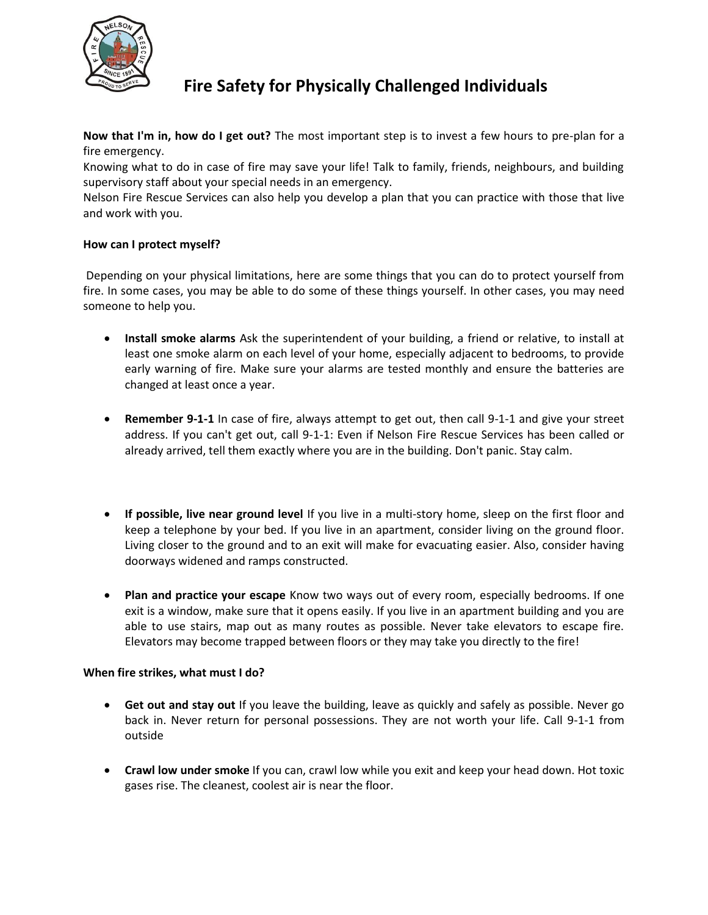

# **Fire Safety for Physically Challenged Individuals**

**Now that I'm in, how do I get out?** The most important step is to invest a few hours to pre-plan for a fire emergency.

Knowing what to do in case of fire may save your life! Talk to family, friends, neighbours, and building supervisory staff about your special needs in an emergency.

Nelson Fire Rescue Services can also help you develop a plan that you can practice with those that live and work with you.

# **How can I protect myself?**

Depending on your physical limitations, here are some things that you can do to protect yourself from fire. In some cases, you may be able to do some of these things yourself. In other cases, you may need someone to help you.

- **Install smoke alarms** Ask the superintendent of your building, a friend or relative, to install at least one smoke alarm on each level of your home, especially adjacent to bedrooms, to provide early warning of fire. Make sure your alarms are tested monthly and ensure the batteries are changed at least once a year.
- **Remember 9-1-1** In case of fire, always attempt to get out, then call 9-1-1 and give your street address. If you can't get out, call 9-1-1: Even if Nelson Fire Rescue Services has been called or already arrived, tell them exactly where you are in the building. Don't panic. Stay calm.
- **If possible, live near ground level** If you live in a multi-story home, sleep on the first floor and keep a telephone by your bed. If you live in an apartment, consider living on the ground floor. Living closer to the ground and to an exit will make for evacuating easier. Also, consider having doorways widened and ramps constructed.
- **Plan and practice your escape** Know two ways out of every room, especially bedrooms. If one exit is a window, make sure that it opens easily. If you live in an apartment building and you are able to use stairs, map out as many routes as possible. Never take elevators to escape fire. Elevators may become trapped between floors or they may take you directly to the fire!

### **When fire strikes, what must I do?**

- **Get out and stay out** If you leave the building, leave as quickly and safely as possible. Never go back in. Never return for personal possessions. They are not worth your life. Call 9-1-1 from outside
- **Crawl low under smoke** If you can, crawl low while you exit and keep your head down. Hot toxic gases rise. The cleanest, coolest air is near the floor.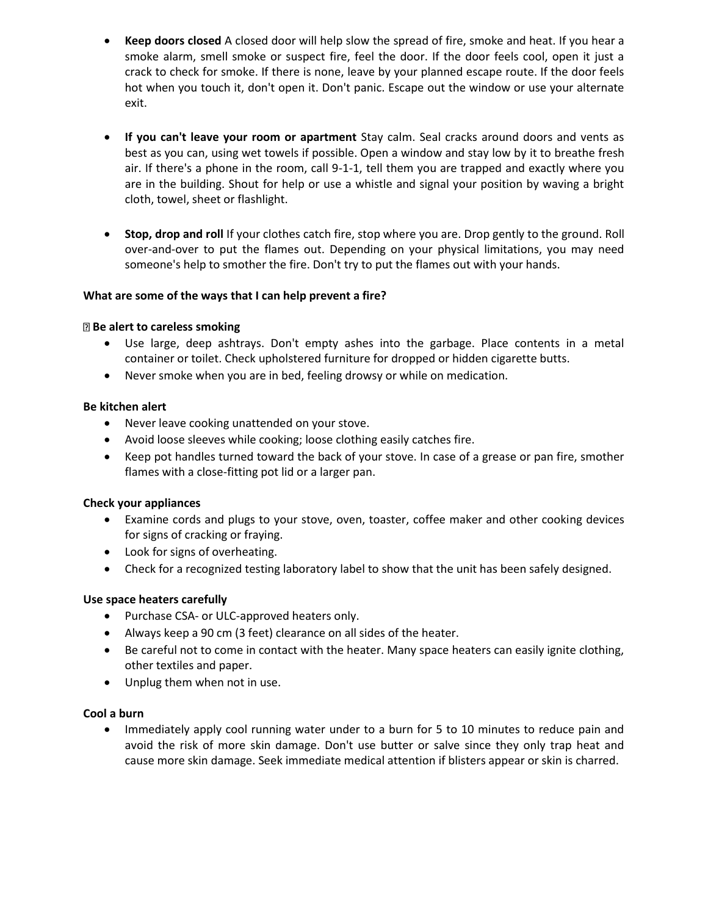- **Keep doors closed** A closed door will help slow the spread of fire, smoke and heat. If you hear a smoke alarm, smell smoke or suspect fire, feel the door. If the door feels cool, open it just a crack to check for smoke. If there is none, leave by your planned escape route. If the door feels hot when you touch it, don't open it. Don't panic. Escape out the window or use your alternate exit.
- **If you can't leave your room or apartment** Stay calm. Seal cracks around doors and vents as best as you can, using wet towels if possible. Open a window and stay low by it to breathe fresh air. If there's a phone in the room, call 9-1-1, tell them you are trapped and exactly where you are in the building. Shout for help or use a whistle and signal your position by waving a bright cloth, towel, sheet or flashlight.
- **Stop, drop and roll** If your clothes catch fire, stop where you are. Drop gently to the ground. Roll over-and-over to put the flames out. Depending on your physical limitations, you may need someone's help to smother the fire. Don't try to put the flames out with your hands.

### **What are some of the ways that I can help prevent a fire?**

#### **Be alert to careless smoking**

- Use large, deep ashtrays. Don't empty ashes into the garbage. Place contents in a metal container or toilet. Check upholstered furniture for dropped or hidden cigarette butts.
- Never smoke when you are in bed, feeling drowsy or while on medication.

#### **Be kitchen alert**

- Never leave cooking unattended on your stove.
- Avoid loose sleeves while cooking; loose clothing easily catches fire.
- Keep pot handles turned toward the back of your stove. In case of a grease or pan fire, smother flames with a close-fitting pot lid or a larger pan.

### **Check your appliances**

- Examine cords and plugs to your stove, oven, toaster, coffee maker and other cooking devices for signs of cracking or fraying.
- Look for signs of overheating.
- Check for a recognized testing laboratory label to show that the unit has been safely designed.

### **Use space heaters carefully**

- Purchase CSA- or ULC-approved heaters only.
- Always keep a 90 cm (3 feet) clearance on all sides of the heater.
- Be careful not to come in contact with the heater. Many space heaters can easily ignite clothing, other textiles and paper.
- Unplug them when not in use.

### **Cool a burn**

• Immediately apply cool running water under to a burn for 5 to 10 minutes to reduce pain and avoid the risk of more skin damage. Don't use butter or salve since they only trap heat and cause more skin damage. Seek immediate medical attention if blisters appear or skin is charred.